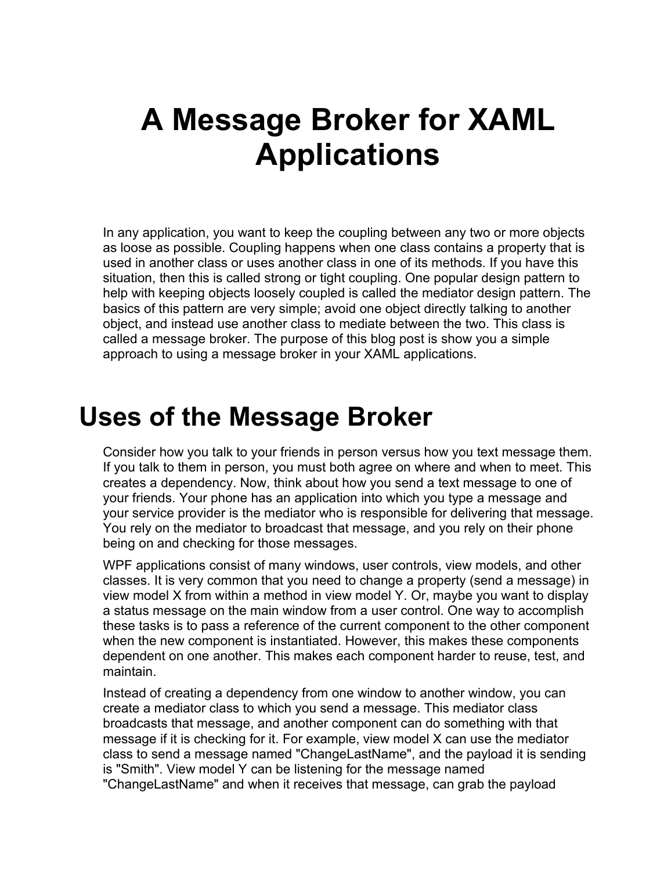# **A Message Broker for XAML Applications**

In any application, you want to keep the coupling between any two or more objects as loose as possible. Coupling happens when one class contains a property that is used in another class or uses another class in one of its methods. If you have this situation, then this is called strong or tight coupling. One popular design pattern to help with keeping objects loosely coupled is called the mediator design pattern. The basics of this pattern are very simple; avoid one object directly talking to another object, and instead use another class to mediate between the two. This class is called a message broker. The purpose of this blog post is show you a simple approach to using a message broker in your XAML applications.

### **Uses of the Message Broker**

Consider how you talk to your friends in person versus how you text message them. If you talk to them in person, you must both agree on where and when to meet. This creates a dependency. Now, think about how you send a text message to one of your friends. Your phone has an application into which you type a message and your service provider is the mediator who is responsible for delivering that message. You rely on the mediator to broadcast that message, and you rely on their phone being on and checking for those messages.

WPF applications consist of many windows, user controls, view models, and other classes. It is very common that you need to change a property (send a message) in view model X from within a method in view model Y. Or, maybe you want to display a status message on the main window from a user control. One way to accomplish these tasks is to pass a reference of the current component to the other component when the new component is instantiated. However, this makes these components dependent on one another. This makes each component harder to reuse, test, and maintain.

Instead of creating a dependency from one window to another window, you can create a mediator class to which you send a message. This mediator class broadcasts that message, and another component can do something with that message if it is checking for it. For example, view model X can use the mediator class to send a message named "ChangeLastName", and the payload it is sending is "Smith". View model Y can be listening for the message named "ChangeLastName" and when it receives that message, can grab the payload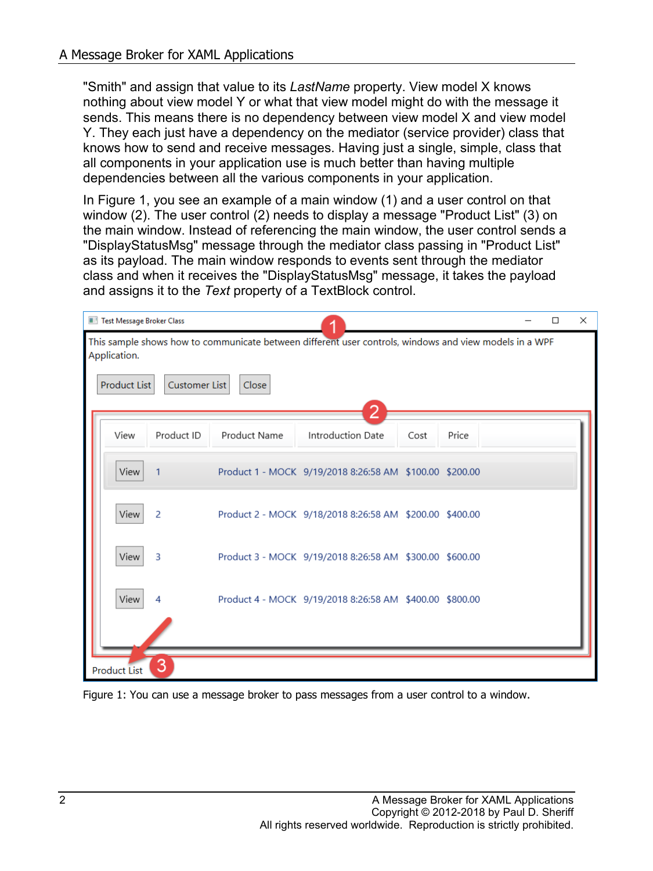"Smith" and assign that value to its *LastName* property. View model X knows nothing about view model Y or what that view model might do with the message it sends. This means there is no dependency between view model X and view model Y. They each just have a dependency on the mediator (service provider) class that knows how to send and receive messages. Having just a single, simple, class that all components in your application use is much better than having multiple dependencies between all the various components in your application.

In [Figure 1,](#page-1-0) you see an example of a main window (1) and a user control on that window (2). The user control (2) needs to display a message "Product List" (3) on the main window. Instead of referencing the main window, the user control sends a "DisplayStatusMsg" message through the mediator class passing in "Product List" as its payload. The main window responds to events sent through the mediator class and when it receives the "DisplayStatusMsg" message, it takes the payload and assigns it to the *Text* property of a TextBlock control.

| Test Message Broker Class                                                                                              | $\Box$ | $\times$ |
|------------------------------------------------------------------------------------------------------------------------|--------|----------|
| This sample shows how to communicate between different user controls, windows and view models in a WPF<br>Application. |        |          |
| Product List<br>Customer List<br>Close                                                                                 |        |          |
| Product Name<br>Introduction Date<br>View<br>Product ID<br>Price<br>Cost                                               |        |          |
| View<br>Product 1 - MOCK 9/19/2018 8:26:58 AM \$100.00 \$200.00<br>$\mathbf{1}$                                        |        |          |
| View<br>2<br>Product 2 - MOCK 9/18/2018 8:26:58 AM \$200.00 \$400.00                                                   |        |          |
| View<br>3<br>Product 3 - MOCK 9/19/2018 8:26:58 AM \$300.00 \$600.00                                                   |        |          |
| View<br>Product 4 - MOCK 9/19/2018 8:26:58 AM \$400.00 \$800.00<br>4                                                   |        |          |
|                                                                                                                        |        |          |
| 3<br><b>Product List</b>                                                                                               |        |          |

<span id="page-1-0"></span>Figure 1: You can use a message broker to pass messages from a user control to a window.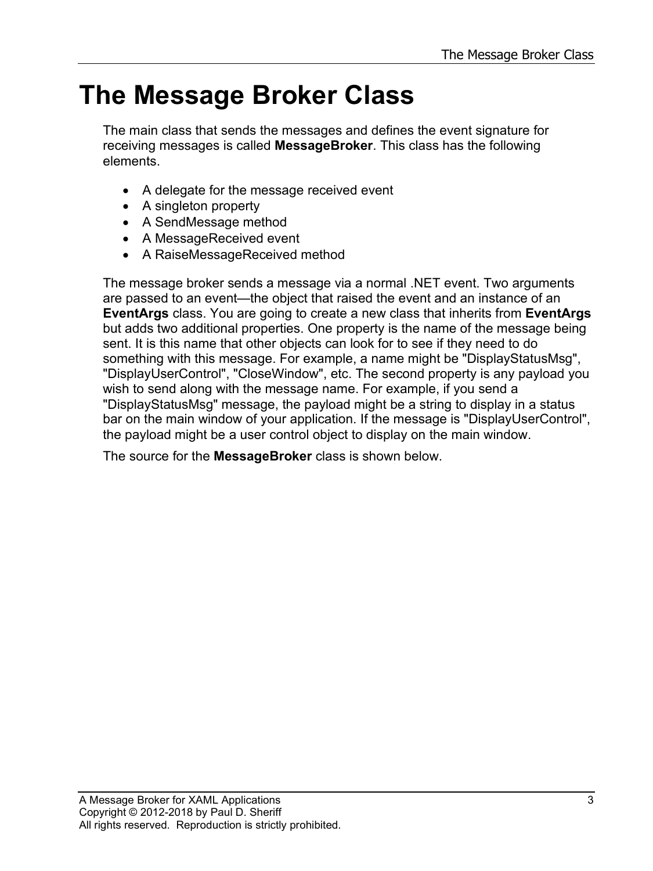### **The Message Broker Class**

The main class that sends the messages and defines the event signature for receiving messages is called **MessageBroker**. This class has the following elements.

- A delegate for the message received event
- A singleton property
- A SendMessage method
- A MessageReceived event
- A RaiseMessageReceived method

The message broker sends a message via a normal .NET event. Two arguments are passed to an event—the object that raised the event and an instance of an **EventArgs** class. You are going to create a new class that inherits from **EventArgs** but adds two additional properties. One property is the name of the message being sent. It is this name that other objects can look for to see if they need to do something with this message. For example, a name might be "DisplayStatusMsg", "DisplayUserControl", "CloseWindow", etc. The second property is any payload you wish to send along with the message name. For example, if you send a "DisplayStatusMsg" message, the payload might be a string to display in a status bar on the main window of your application. If the message is "DisplayUserControl", the payload might be a user control object to display on the main window.

The source for the **MessageBroker** class is shown below.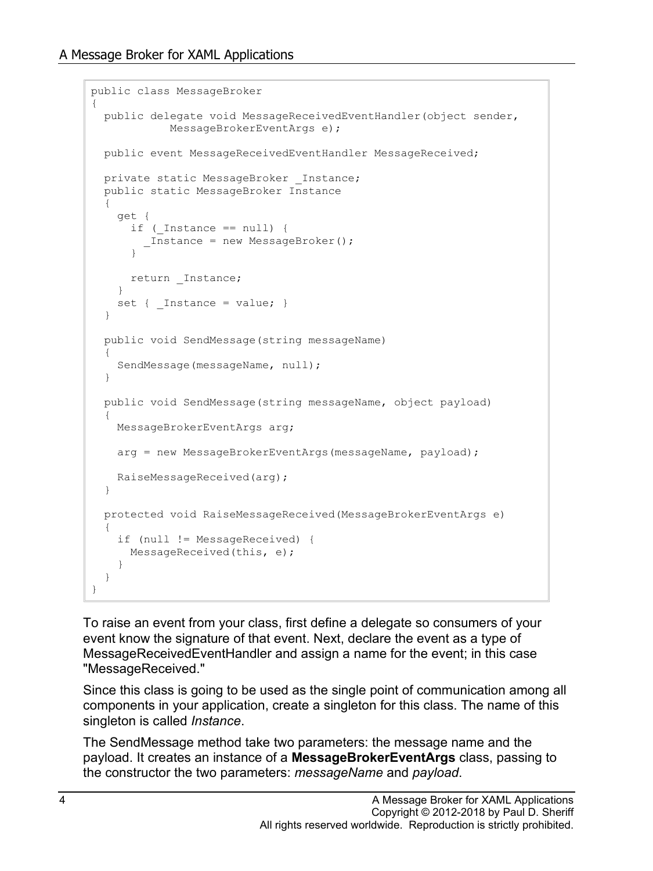```
public class MessageBroker
{
  public delegate void MessageReceivedEventHandler(object sender,
             MessageBrokerEventArgs e);
  public event MessageReceivedEventHandler MessageReceived;
  private static MessageBroker _Instance;
   public static MessageBroker Instance
\{ get {
     if (Int instance == null) {
         _Instance = new MessageBroker();
 }
     return Instance;
     }
    set { Instance = value; }
   }
   public void SendMessage(string messageName)
\{ SendMessage(messageName, null);
   }
  public void SendMessage(string messageName, object payload)
\{ MessageBrokerEventArgs arg;
     arg = new MessageBrokerEventArgs(messageName, payload);
    RaiseMessageReceived(arg);
   }
  protected void RaiseMessageReceived(MessageBrokerEventArgs e)
\{ if (null != MessageReceived) {
     MessageReceived(this, e);
     }
   }
}
```
To raise an event from your class, first define a delegate so consumers of your event know the signature of that event. Next, declare the event as a type of MessageReceivedEventHandler and assign a name for the event; in this case "MessageReceived."

Since this class is going to be used as the single point of communication among all components in your application, create a singleton for this class. The name of this singleton is called *Instance*.

The SendMessage method take two parameters: the message name and the payload. It creates an instance of a **MessageBrokerEventArgs** class, passing to the constructor the two parameters: *messageName* and *payload*.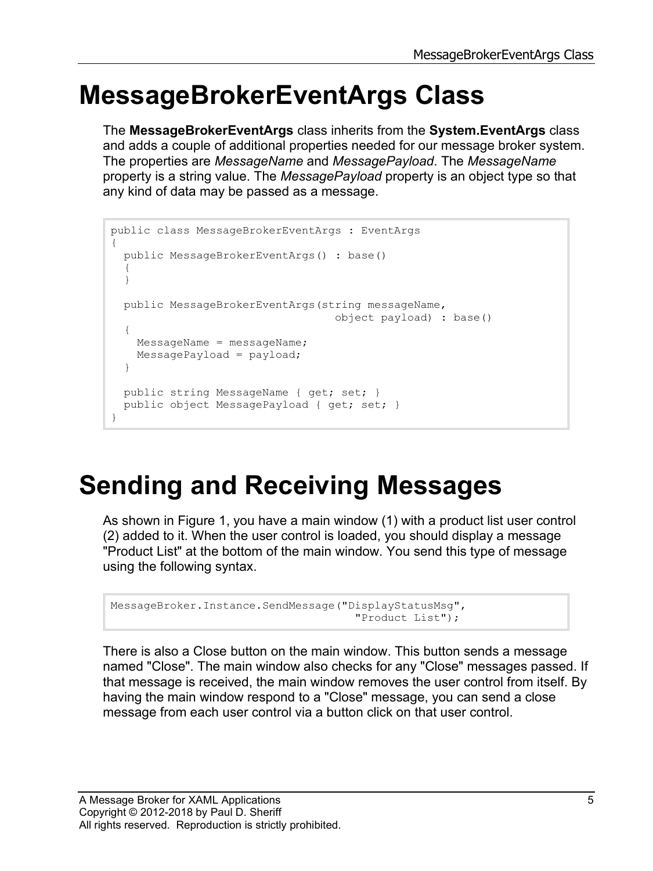### **MessageBrokerEventArgs Class**

The **MessageBrokerEventArgs** class inherits from the **System.EventArgs** class and adds a couple of additional properties needed for our message broker system. The properties are *MessageName* and *MessagePayload*. The *MessageName* property is a string value. The *MessagePayload* property is an object type so that any kind of data may be passed as a message.

```
public class MessageBrokerEventArgs : EventArgs
{
  public MessageBrokerEventArgs() : base()
   {
   }
  public MessageBrokerEventArgs(string messageName, 
                                    object payload) : base()
   {
    MessageName = messageName;
    MessagePayload = payload;
   }
  public string MessageName { get; set; }
  public object MessagePayload { get; set; }
}
```
## **Sending and Receiving Messages**

As shown in Figure 1, you have a main window (1) with a product list user control (2) added to it. When the user control is loaded, you should display a message "Product List" at the bottom of the main window. You send this type of message using the following syntax.

```
MessageBroker.Instance.SendMessage("DisplayStatusMsg",
                                       "Product List");
```
There is also a Close button on the main window. This button sends a message named "Close". The main window also checks for any "Close" messages passed. If that message is received, the main window removes the user control from itself. By having the main window respond to a "Close" message, you can send a close message from each user control via a button click on that user control.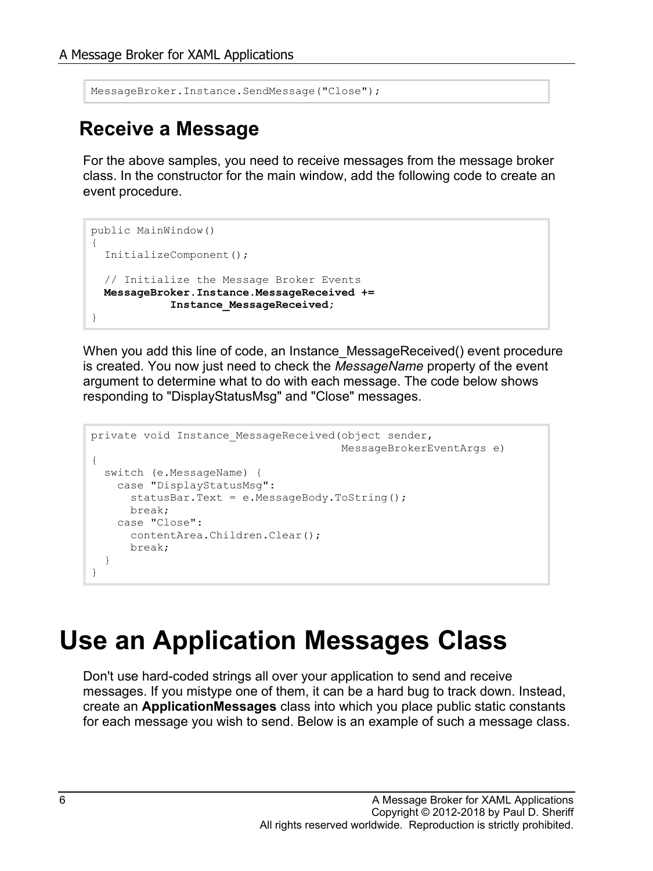```
MessageBroker.Instance.SendMessage("Close");
```
#### **Receive a Message**

For the above samples, you need to receive messages from the message broker class. In the constructor for the main window, add the following code to create an event procedure.

```
public MainWindow()
{
   InitializeComponent();
   // Initialize the Message Broker Events
  MessageBroker.Instance.MessageReceived +=
             Instance_MessageReceived;
}
```
When you add this line of code, an Instance MessageReceived() event procedure is created. You now just need to check the *MessageName* property of the event argument to determine what to do with each message. The code below shows responding to "DisplayStatusMsg" and "Close" messages.

```
private void Instance MessageReceived(object sender,
                                        MessageBrokerEventArgs e)
{
   switch (e.MessageName) {
    case "DisplayStatusMsg":
     statusBar.Text = e.MessageBody.ToString();
      break;
    case "Close":
      contentArea.Children.Clear();
      break;
   }
}
```
### **Use an Application Messages Class**

Don't use hard-coded strings all over your application to send and receive messages. If you mistype one of them, it can be a hard bug to track down. Instead, create an **ApplicationMessages** class into which you place public static constants for each message you wish to send. Below is an example of such a message class.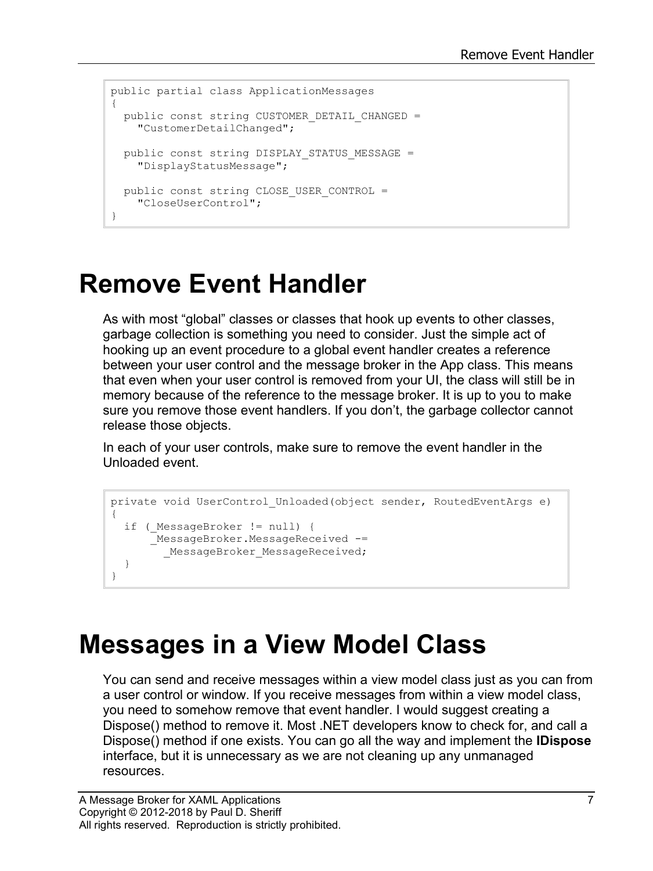```
public partial class ApplicationMessages
{
 public const string CUSTOMER DETAIL CHANGED =
    "CustomerDetailChanged";
 public const string DISPLAY STATUS MESSAGE =
     "DisplayStatusMessage";
 public const string CLOSE USER CONTROL =
     "CloseUserControl";
}
```
### **Remove Event Handler**

As with most "global" classes or classes that hook up events to other classes, garbage collection is something you need to consider. Just the simple act of hooking up an event procedure to a global event handler creates a reference between your user control and the message broker in the App class. This means that even when your user control is removed from your UI, the class will still be in memory because of the reference to the message broker. It is up to you to make sure you remove those event handlers. If you don't, the garbage collector cannot release those objects.

In each of your user controls, make sure to remove the event handler in the Unloaded event.

```
private void UserControl_Unloaded(object sender, RoutedEventArgs e)
{
   if (_MessageBroker != null) {
      MessageBroker.MessageReceived -=
       MessageBroker MessageReceived;
   }
}
```
## **Messages in a View Model Class**

You can send and receive messages within a view model class just as you can from a user control or window. If you receive messages from within a view model class, you need to somehow remove that event handler. I would suggest creating a Dispose() method to remove it. Most .NET developers know to check for, and call a Dispose() method if one exists. You can go all the way and implement the **IDispose** interface, but it is unnecessary as we are not cleaning up any unmanaged resources.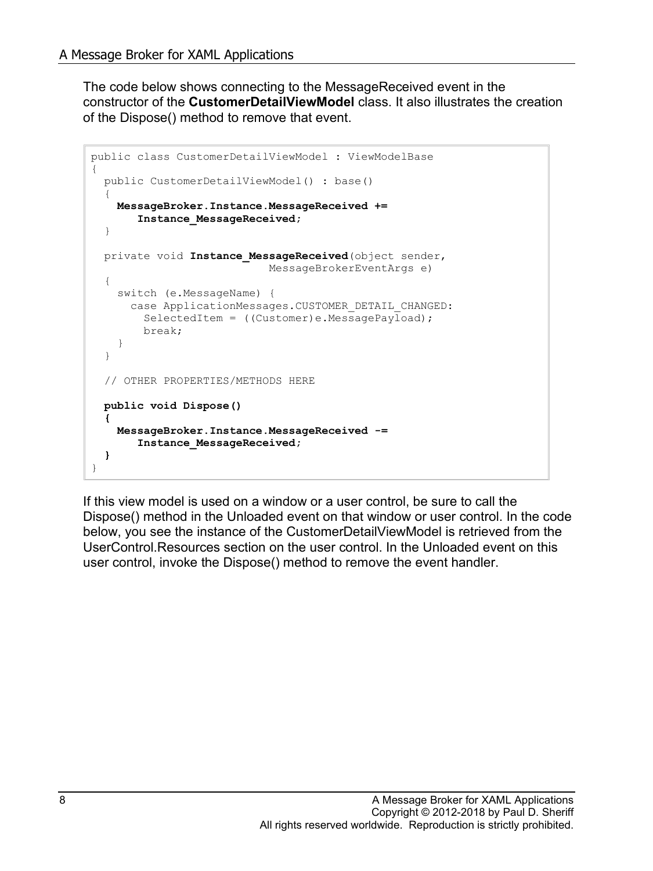The code below shows connecting to the MessageReceived event in the constructor of the **CustomerDetailViewModel** class. It also illustrates the creation of the Dispose() method to remove that event.

```
public class CustomerDetailViewModel : ViewModelBase
{
  public CustomerDetailViewModel() : base()
\{ MessageBroker.Instance.MessageReceived +=
        Instance_MessageReceived;
   }
 private void Instance MessageReceived (object sender,
                             MessageBrokerEventArgs e)
   {
     switch (e.MessageName) {
       case ApplicationMessages.CUSTOMER_DETAIL_CHANGED:
        SelectedItem = ((Customer)e.MessagePayload);
         break;
     }
   }
   // OTHER PROPERTIES/METHODS HERE
  public void Dispose()
 {
    MessageBroker.Instance.MessageReceived -= 
        Instance_MessageReceived;
   }
}
```
If this view model is used on a window or a user control, be sure to call the Dispose() method in the Unloaded event on that window or user control. In the code below, you see the instance of the CustomerDetailViewModel is retrieved from the UserControl.Resources section on the user control. In the Unloaded event on this user control, invoke the Dispose() method to remove the event handler.